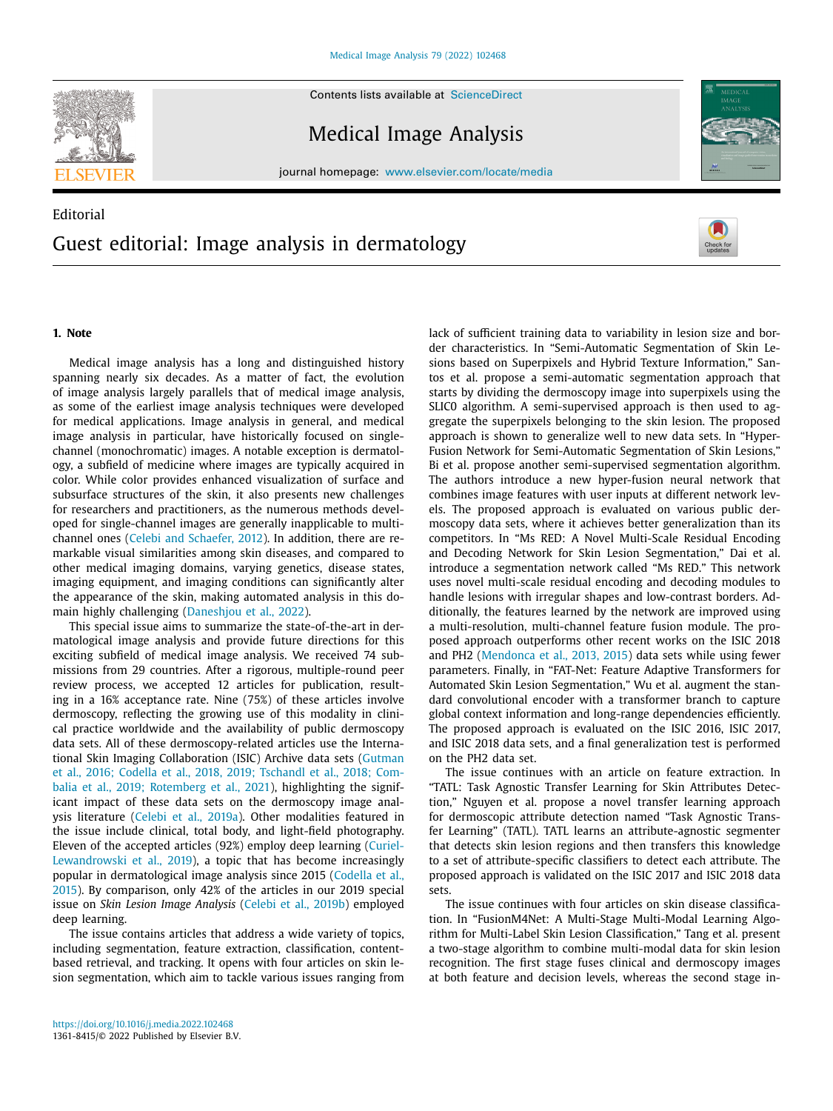Contents lists available at ScienceDirect





journal homepage: www.elsevier.com/locate/media

# Editorial Guest editorial: Image analysis in dermatology



## **1. Note**

Medical image analysis has a long and distinguished history spanning nearly six decades. As a matter of fact, the evolution of image analysis largely parallels that of medical image analysis, as some of the earliest image analysis techniques were developed for medical applications. Image analysis in general, and medical image analysis in particular, have historically focused on singlechannel (monochromatic) images. A notable exception is dermatology, a subfield of medicine where images are typically acquired in color. While color provides enhanced visualization of surface and subsurface structures of the skin, it also presents new challenges for researchers and practitioners, as the numerous methods developed for single-channel images are generally inapplicable to multichannel ones (Celebi and [Schaefer,](#page-1-0) 2012). In addition, there are remarkable visual similarities among skin diseases, and compared to other medical imaging domains, varying genetics, disease states, imaging equipment, and imaging conditions can significantly alter the appearance of the skin, making automated analysis in this domain highly challenging [\(Daneshjou](#page-2-0) et al., 2022).

This special issue aims to summarize the state-of-the-art in dermatological image analysis and provide future directions for this exciting subfield of medical image analysis. We received 74 submissions from 29 countries. After a rigorous, multiple-round peer review process, we accepted 12 articles for publication, resulting in a 16% acceptance rate. Nine (75%) of these articles involve dermoscopy, reflecting the growing use of this modality in clinical practice worldwide and the availability of public dermoscopy data sets. All of these dermoscopy-related articles use the International Skin Imaging [Collaboration](#page-2-0) (ISIC) Archive data sets (Gutman et al., 2016; Codella et al., 2018, 2019; Tschandl et al., 2018; Combalia et al., 2019; Rotemberg et al., 2021), highlighting the significant impact of these data sets on the dermoscopy image analysis literature [\(Celebi](#page-1-0) et al., 2019a). Other modalities featured in the issue include clinical, total body, and light-field photography. Eleven of the accepted articles (92%) employ deep learning (Curiel-[Lewandrowski](#page-2-0) et al., 2019), a topic that has become increasingly popular in [dermatological](#page-1-0) image analysis since 2015 (Codella et al., 2015). By comparison, only 42% of the articles in our 2019 special issue on *Skin Lesion Image Analysis* (Celebi et al., [2019b\)](#page-1-0) employed deep learning.

The issue contains articles that address a wide variety of topics, including segmentation, feature extraction, classification, contentbased retrieval, and tracking. It opens with four articles on skin lesion segmentation, which aim to tackle various issues ranging from lack of sufficient training data to variability in lesion size and border characteristics. In "Semi-Automatic Segmentation of Skin Lesions based on Superpixels and Hybrid Texture Information," Santos et al. propose a semi-automatic segmentation approach that starts by dividing the dermoscopy image into superpixels using the SLIC0 algorithm. A semi-supervised approach is then used to aggregate the superpixels belonging to the skin lesion. The proposed approach is shown to generalize well to new data sets. In "Hyper-Fusion Network for Semi-Automatic Segmentation of Skin Lesions," Bi et al. propose another semi-supervised segmentation algorithm. The authors introduce a new hyper-fusion neural network that combines image features with user inputs at different network levels. The proposed approach is evaluated on various public dermoscopy data sets, where it achieves better generalization than its competitors. In "Ms RED: A Novel Multi-Scale Residual Encoding and Decoding Network for Skin Lesion Segmentation," Dai et al. introduce a segmentation network called "Ms RED." This network uses novel multi-scale residual encoding and decoding modules to handle lesions with irregular shapes and low-contrast borders. Additionally, the features learned by the network are improved using a multi-resolution, multi-channel feature fusion module. The proposed approach outperforms other recent works on the ISIC 2018 and PH2 [\(Mendonca](#page-2-0) et al., 2013, 2015) data sets while using fewer parameters. Finally, in "FAT-Net: Feature Adaptive Transformers for Automated Skin Lesion Segmentation," Wu et al. augment the standard convolutional encoder with a transformer branch to capture global context information and long-range dependencies efficiently. The proposed approach is evaluated on the ISIC 2016, ISIC 2017, and ISIC 2018 data sets, and a final generalization test is performed on the PH2 data set.

The issue continues with an article on feature extraction. In "TATL: Task Agnostic Transfer Learning for Skin Attributes Detection," Nguyen et al. propose a novel transfer learning approach for dermoscopic attribute detection named "Task Agnostic Transfer Learning" (TATL). TATL learns an attribute-agnostic segmenter that detects skin lesion regions and then transfers this knowledge to a set of attribute-specific classifiers to detect each attribute. The proposed approach is validated on the ISIC 2017 and ISIC 2018 data sets.

The issue continues with four articles on skin disease classification. In "FusionM4Net: A Multi-Stage Multi-Modal Learning Algorithm for Multi-Label Skin Lesion Classification," Tang et al. present a two-stage algorithm to combine multi-modal data for skin lesion recognition. The first stage fuses clinical and dermoscopy images at both feature and decision levels, whereas the second stage in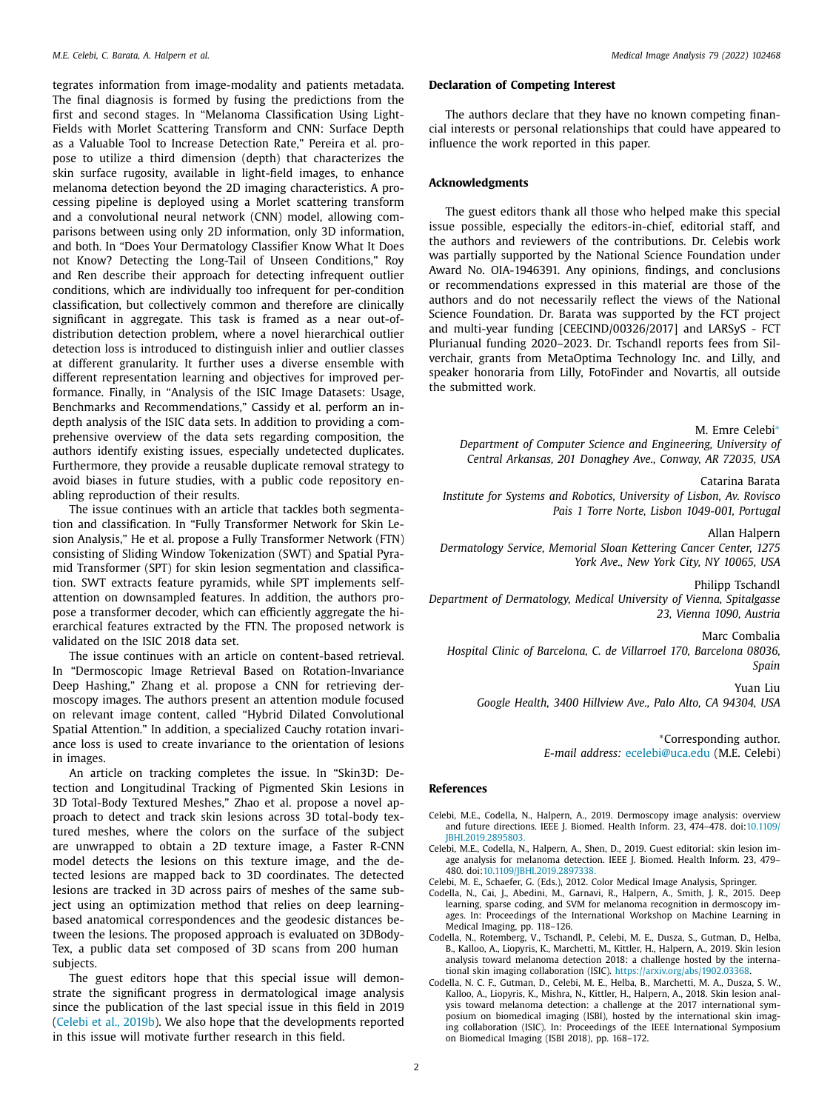<span id="page-1-0"></span>tegrates information from image-modality and patients metadata. The final diagnosis is formed by fusing the predictions from the first and second stages. In "Melanoma Classification Using Light-Fields with Morlet Scattering Transform and CNN: Surface Depth as a Valuable Tool to Increase Detection Rate," Pereira et al. propose to utilize a third dimension (depth) that characterizes the skin surface rugosity, available in light-field images, to enhance melanoma detection beyond the 2D imaging characteristics. A processing pipeline is deployed using a Morlet scattering transform and a convolutional neural network (CNN) model, allowing comparisons between using only 2D information, only 3D information, and both. In "Does Your Dermatology Classifier Know What It Does not Know? Detecting the Long-Tail of Unseen Conditions," Roy and Ren describe their approach for detecting infrequent outlier conditions, which are individually too infrequent for per-condition classification, but collectively common and therefore are clinically significant in aggregate. This task is framed as a near out-ofdistribution detection problem, where a novel hierarchical outlier detection loss is introduced to distinguish inlier and outlier classes at different granularity. It further uses a diverse ensemble with different representation learning and objectives for improved performance. Finally, in "Analysis of the ISIC Image Datasets: Usage, Benchmarks and Recommendations," Cassidy et al. perform an indepth analysis of the ISIC data sets. In addition to providing a comprehensive overview of the data sets regarding composition, the authors identify existing issues, especially undetected duplicates. Furthermore, they provide a reusable duplicate removal strategy to avoid biases in future studies, with a public code repository enabling reproduction of their results.

The issue continues with an article that tackles both segmentation and classification. In "Fully Transformer Network for Skin Lesion Analysis," He et al. propose a Fully Transformer Network (FTN) consisting of Sliding Window Tokenization (SWT) and Spatial Pyramid Transformer (SPT) for skin lesion segmentation and classification. SWT extracts feature pyramids, while SPT implements selfattention on downsampled features. In addition, the authors propose a transformer decoder, which can efficiently aggregate the hierarchical features extracted by the FTN. The proposed network is validated on the ISIC 2018 data set.

The issue continues with an article on content-based retrieval. In "Dermoscopic Image Retrieval Based on Rotation-Invariance Deep Hashing," Zhang et al. propose a CNN for retrieving dermoscopy images. The authors present an attention module focused on relevant image content, called "Hybrid Dilated Convolutional Spatial Attention." In addition, a specialized Cauchy rotation invariance loss is used to create invariance to the orientation of lesions in images.

An article on tracking completes the issue. In "Skin3D: Detection and Longitudinal Tracking of Pigmented Skin Lesions in 3D Total-Body Textured Meshes," Zhao et al. propose a novel approach to detect and track skin lesions across 3D total-body textured meshes, where the colors on the surface of the subject are unwrapped to obtain a 2D texture image, a Faster R-CNN model detects the lesions on this texture image, and the detected lesions are mapped back to 3D coordinates. The detected lesions are tracked in 3D across pairs of meshes of the same subject using an optimization method that relies on deep learningbased anatomical correspondences and the geodesic distances between the lesions. The proposed approach is evaluated on 3DBody-Tex, a public data set composed of 3D scans from 200 human subjects.

The guest editors hope that this special issue will demonstrate the significant progress in dermatological image analysis since the publication of the last special issue in this field in 2019 (Celebi et al., 2019b). We also hope that the developments reported in this issue will motivate further research in this field.

## **Declaration of Competing Interest**

The authors declare that they have no known competing financial interests or personal relationships that could have appeared to influence the work reported in this paper.

### **Acknowledgments**

The guest editors thank all those who helped make this special issue possible, especially the editors-in-chief, editorial staff, and the authors and reviewers of the contributions. Dr. Celebis work was partially supported by the National Science Foundation under Award No. OIA-1946391. Any opinions, findings, and conclusions or recommendations expressed in this material are those of the authors and do not necessarily reflect the views of the National Science Foundation. Dr. Barata was supported by the FCT project and multi-year funding [CEECIND/00326/2017] and LARSyS - FCT Plurianual funding 2020–2023. Dr. Tschandl reports fees from Silverchair, grants from MetaOptima Technology Inc. and Lilly, and speaker honoraria from Lilly, FotoFinder and Novartis, all outside the submitted work.

M. Emre Celebi∗

*Department of Computer Science and Engineering, University of Central Arkansas, 201 Donaghey Ave., Conway, AR 72035, USA*

Catarina Barata

*Institute for Systems and Robotics, University of Lisbon, Av. Rovisco Pais 1 Torre Norte, Lisbon 1049-001, Portugal*

Allan Halpern

*Dermatology Service, Memorial Sloan Kettering Cancer Center, 1275 York Ave., New York City, NY 10065, USA*

Philipp Tschandl

*Department of Dermatology, Medical University of Vienna, Spitalgasse 23, Vienna 1090, Austria*

Marc Combalia

*Hospital Clinic of Barcelona, C. de Villarroel 170, Barcelona 08036, Spain*

Yuan Liu

*Google Health, 3400 Hillview Ave., Palo Alto, CA 94304, USA*

∗Corresponding author. *E-mail address:* ecelebi@uca.edu (M.E. Celebi)

### **References**

- Celebi, M.E., Codella, N., Halpern, A., 2019. Dermoscopy image analysis: overview and future directions. IEEE J. Biomed. Health Inform. 23, 474–478. doi:10.1109/ JBHI.2019.2895803.
- Celebi, M.E., Codella, N., Halpern, A., Shen, D., 2019. Guest editorial: skin lesion image analysis for melanoma detection. IEEE J. Biomed. Health Inform. 23, 479– 480. doi:10.1109/JBHI.2019.2897338.
- Celebi, M. E., Schaefer, G. (Eds.), 2012. Color Medical Image Analysis, Springer.
- Codella, N., Cai, J., Abedini, M., Garnavi, R., Halpern, A., Smith, J. R., 2015. Deep learning, sparse coding, and SVM for melanoma recognition in dermoscopy images. In: Proceedings of the International Workshop on Machine Learning in
- Medical Imaging, pp. 118–126. Codella, N., Rotemberg, V., Tschandl, P., Celebi, M. E., Dusza, S., Gutman, D., Helba, B., Kalloo, A., Liopyris, K., Marchetti, M., Kittler, H., Halpern, A., 2019. Skin lesion analysis toward melanoma detection 2018: a challenge hosted by the international skin imaging collaboration (ISIC). https://arxiv.org/abs/1902.03368.
- Codella, N. C. F., Gutman, D., Celebi, M. E., Helba, B., Marchetti, M. A., Dusza, S. W., Kalloo, A., Liopyris, K., Mishra, N., Kittler, H., Halpern, A., 2018. Skin lesion analysis toward melanoma detection: a challenge at the 2017 international symposium on biomedical imaging (ISBI), hosted by the international skin imaging collaboration (ISIC). In: Proceedings of the IEEE International Symposium on Biomedical Imaging (ISBI 2018), pp. 168–172.